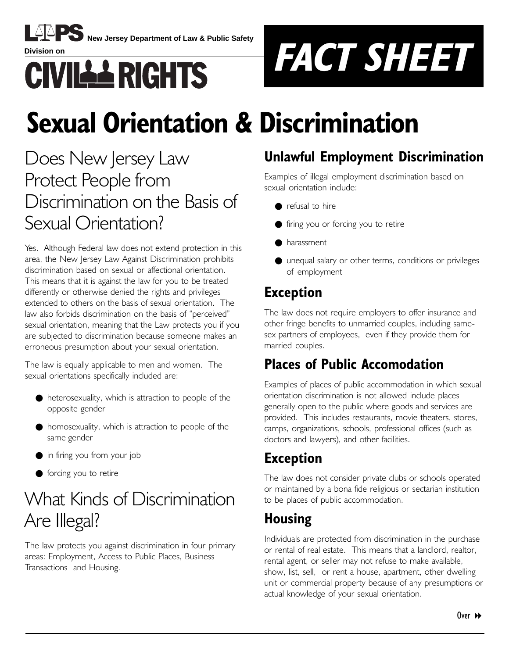

**New Jersey Department of Law & Public Safety**



# **Sexual Orientation & Discrimination**

### Does New Jersey Law Protect People from Discrimination on the Basis of Sexual Orientation?

Yes. Although Federal law does not extend protection in this area, the New Jersey Law Against Discrimination prohibits discrimination based on sexual or affectional orientation. This means that it is against the law for you to be treated differently or otherwise denied the rights and privileges extended to others on the basis of sexual orientation. The law also forbids discrimination on the basis of "perceived" sexual orientation, meaning that the Law protects you if you are subjected to discrimination because someone makes an erroneous presumption about your sexual orientation.

The law is equally applicable to men and women. The sexual orientations specifically included are:

- heterosexuality, which is attraction to people of the opposite gender
- homosexuality, which is attraction to people of the same gender
- in firing you from your job
- forcing you to retire

# What Kinds of Discrimination Are Illegal?

The law protects you against discrimination in four primary areas: Employment, Access to Public Places, Business Transactions and Housing.

#### **Unlawful Employment Discrimination**

Examples of illegal employment discrimination based on sexual orientation include:

- refusal to hire
- firing you or forcing you to retire
- harassment
- unequal salary or other terms, conditions or privileges of employment

#### **Exception**

The law does not require employers to offer insurance and other fringe benefits to unmarried couples, including samesex partners of employees, even if they provide them for married couples.

#### **Places of Public Accomodation**

Examples of places of public accommodation in which sexual orientation discrimination is not allowed include places generally open to the public where goods and services are provided. This includes restaurants, movie theaters, stores, camps, organizations, schools, professional offices (such as doctors and lawyers), and other facilities.

#### **Exception**

The law does not consider private clubs or schools operated or maintained by a bona fide religious or sectarian institution to be places of public accommodation.

### **Housing**

Individuals are protected from discrimination in the purchase or rental of real estate. This means that a landlord, realtor, rental agent, or seller may not refuse to make available, show, list, sell, or rent a house, apartment, other dwelling unit or commercial property because of any presumptions or actual knowledge of your sexual orientation.